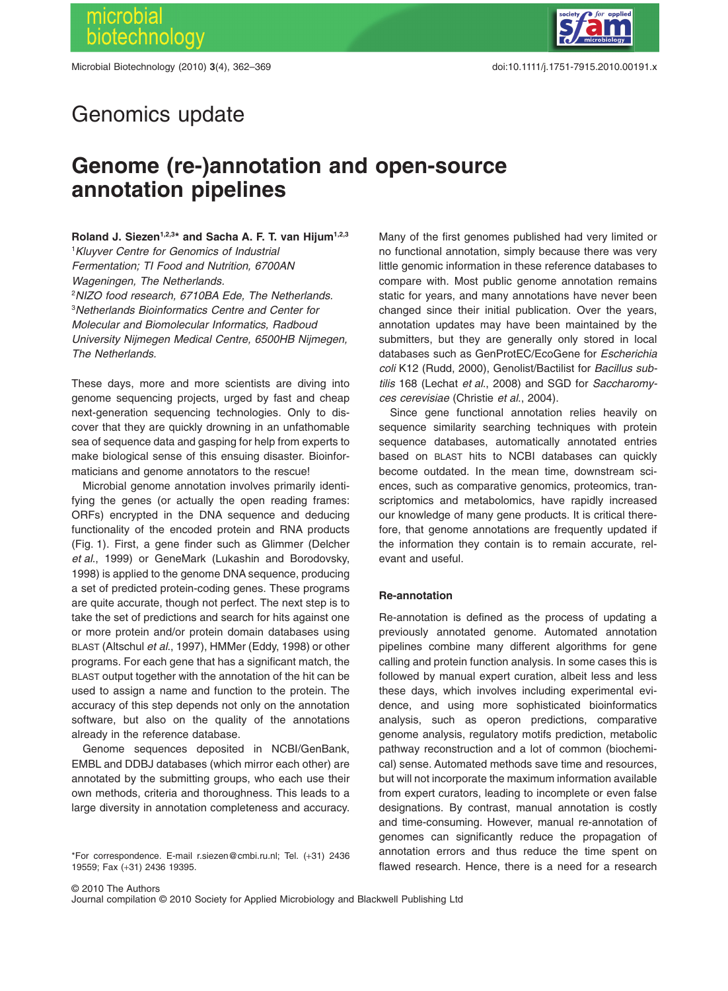

# **Genome (re-)annotation and open-source annotation pipelines**

Roland J. Siezen<sup>1,2,3\*</sup> and Sacha A. F. T. van Hijum<sup>1,2,3</sup>

1 *Kluyver Centre for Genomics of Industrial Fermentation; TI Food and Nutrition, 6700AN Wageningen, The Netherlands.*

2 *NIZO food research, 6710BA Ede, The Netherlands.* 3 *Netherlands Bioinformatics Centre and Center for Molecular and Biomolecular Informatics, Radboud University Nijmegen Medical Centre, 6500HB Nijmegen, The Netherlands.*

These days, more and more scientists are diving into genome sequencing projects, urged by fast and cheap next-generation sequencing technologies. Only to discover that they are quickly drowning in an unfathomable sea of sequence data and gasping for help from experts to make biological sense of this ensuing disaster. Bioinformaticians and genome annotators to the rescue!

Microbial genome annotation involves primarily identifying the genes (or actually the open reading frames: ORFs) encrypted in the DNA sequence and deducing functionality of the encoded protein and RNA products (Fig. 1). First, a gene finder such as Glimmer (Delcher *et al*., 1999) or GeneMark (Lukashin and Borodovsky, 1998) is applied to the genome DNA sequence, producing a set of predicted protein-coding genes. These programs are quite accurate, though not perfect. The next step is to take the set of predictions and search for hits against one or more protein and/or protein domain databases using BLAST (Altschul *et al*., 1997), HMMer (Eddy, 1998) or other programs. For each gene that has a significant match, the BLAST output together with the annotation of the hit can be used to assign a name and function to the protein. The accuracy of this step depends not only on the annotation software, but also on the quality of the annotations already in the reference database.

Genome sequences deposited in NCBI/GenBank, EMBL and DDBJ databases (which mirror each other) are annotated by the submitting groups, who each use their own methods, criteria and thoroughness. This leads to a large diversity in annotation completeness and accuracy.

Many of the first genomes published had very limited or no functional annotation, simply because there was very little genomic information in these reference databases to compare with. Most public genome annotation remains static for years, and many annotations have never been changed since their initial publication. Over the years, annotation updates may have been maintained by the submitters, but they are generally only stored in local databases such as GenProtEC/EcoGene for *Escherichia coli* K12 (Rudd, 2000), Genolist/Bactilist for *Bacillus subtilis* 168 (Lechat *et al*., 2008) and SGD for *Saccharomyces cerevisiae* (Christie *et al*., 2004).

Since gene functional annotation relies heavily on sequence similarity searching techniques with protein sequence databases, automatically annotated entries based on BLAST hits to NCBI databases can quickly become outdated. In the mean time, downstream sciences, such as comparative genomics, proteomics, transcriptomics and metabolomics, have rapidly increased our knowledge of many gene products. It is critical therefore, that genome annotations are frequently updated if the information they contain is to remain accurate, relevant and useful.

#### **Re-annotation**

Re-annotation is defined as the process of updating a previously annotated genome. Automated annotation pipelines combine many different algorithms for gene calling and protein function analysis. In some cases this is followed by manual expert curation, albeit less and less these days, which involves including experimental evidence, and using more sophisticated bioinformatics analysis, such as operon predictions, comparative genome analysis, regulatory motifs prediction, metabolic pathway reconstruction and a lot of common (biochemical) sense. Automated methods save time and resources, but will not incorporate the maximum information available from expert curators, leading to incomplete or even false designations. By contrast, manual annotation is costly and time-consuming. However, manual re-annotation of genomes can significantly reduce the propagation of annotation errors and thus reduce the time spent on flawed research. Hence, there is a need for a research

<sup>\*</sup>For correspondence. E-mail r[.siezen@cmbi.ru.nl;](mailto:siezen@cmbi.ru.nl) Tel. (+31) 2436 19559; Fax (+31) 2436 19395.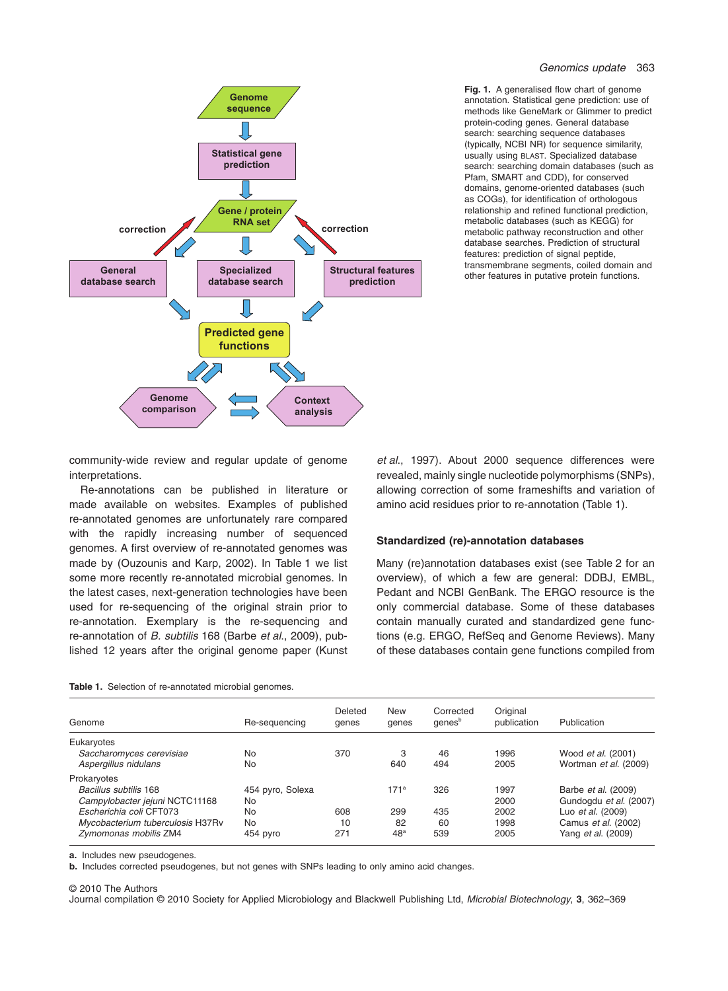

**Fig. 1.** A generalised flow chart of genome annotation. Statistical gene prediction: use of methods like GeneMark or Glimmer to predict protein-coding genes. General database search: searching sequence databases (typically, NCBI NR) for sequence similarity, usually using BLAST. Specialized database search: searching domain databases (such as Pfam, SMART and CDD), for conserved domains, genome-oriented databases (such as COGs), for identification of orthologous relationship and refined functional prediction, metabolic databases (such as KEGG) for metabolic pathway reconstruction and other database searches. Prediction of structural features: prediction of signal peptide, transmembrane segments, coiled domain and other features in putative protein functions.

community-wide review and regular update of genome interpretations.

Re-annotations can be published in literature or made available on websites. Examples of published re-annotated genomes are unfortunately rare compared with the rapidly increasing number of sequenced genomes. A first overview of re-annotated genomes was made by (Ouzounis and Karp, 2002). In Table 1 we list some more recently re-annotated microbial genomes. In the latest cases, next-generation technologies have been used for re-sequencing of the original strain prior to re-annotation. Exemplary is the re-sequencing and re-annotation of *B. subtilis* 168 (Barbe *et al*., 2009), published 12 years after the original genome paper (Kunst

|  | Table 1. Selection of re-annotated microbial genomes. |  |
|--|-------------------------------------------------------|--|
|  |                                                       |  |

*et al*., 1997). About 2000 sequence differences were revealed, mainly single nucleotide polymorphisms (SNPs), allowing correction of some frameshifts and variation of amino acid residues prior to re-annotation (Table 1).

#### **Standardized (re)-annotation databases**

Many (re)annotation databases exist (see Table 2 for an overview), of which a few are general: DDBJ, EMBL, Pedant and NCBI GenBank. The ERGO resource is the only commercial database. Some of these databases contain manually curated and standardized gene functions (e.g. ERGO, RefSeq and Genome Reviews). Many of these databases contain gene functions compiled from

| Genome                           | Re-sequencing    | Deleted<br>genes | <b>New</b><br>genes | Corrected<br>genes <sup>b</sup> | Original<br>publication | Publication                |
|----------------------------------|------------------|------------------|---------------------|---------------------------------|-------------------------|----------------------------|
| Eukaryotes                       |                  |                  |                     |                                 |                         |                            |
| Saccharomyces cerevisiae         | No               | 370              | 3                   | 46                              | 1996                    | Wood <i>et al.</i> (2001)  |
| Aspergillus nidulans             | No               |                  | 640                 | 494                             | 2005                    | Wortman et al. (2009)      |
| Prokaryotes                      |                  |                  |                     |                                 |                         |                            |
| Bacillus subtilis 168            | 454 pyro, Solexa |                  | 171 <sup>a</sup>    | 326                             | 1997                    | Barbe <i>et al.</i> (2009) |
| Campylobacter jejuni NCTC11168   | No               |                  |                     |                                 | 2000                    | Gundogdu et al. (2007)     |
| Escherichia coli CFT073          | No               | 608              | 299                 | 435                             | 2002                    | Luo et al. (2009)          |
| Mycobacterium tuberculosis H37Rv | No               | 10               | 82                  | 60                              | 1998                    | Camus et al. (2002)        |
| Zymomonas mobilis ZM4            | 454 pyro         | 271              | 48 <sup>a</sup>     | 539                             | 2005                    | Yang <i>et al.</i> (2009)  |

**a.** Includes new pseudogenes.

**b.** Includes corrected pseudogenes, but not genes with SNPs leading to only amino acid changes.

#### © 2010 The Authors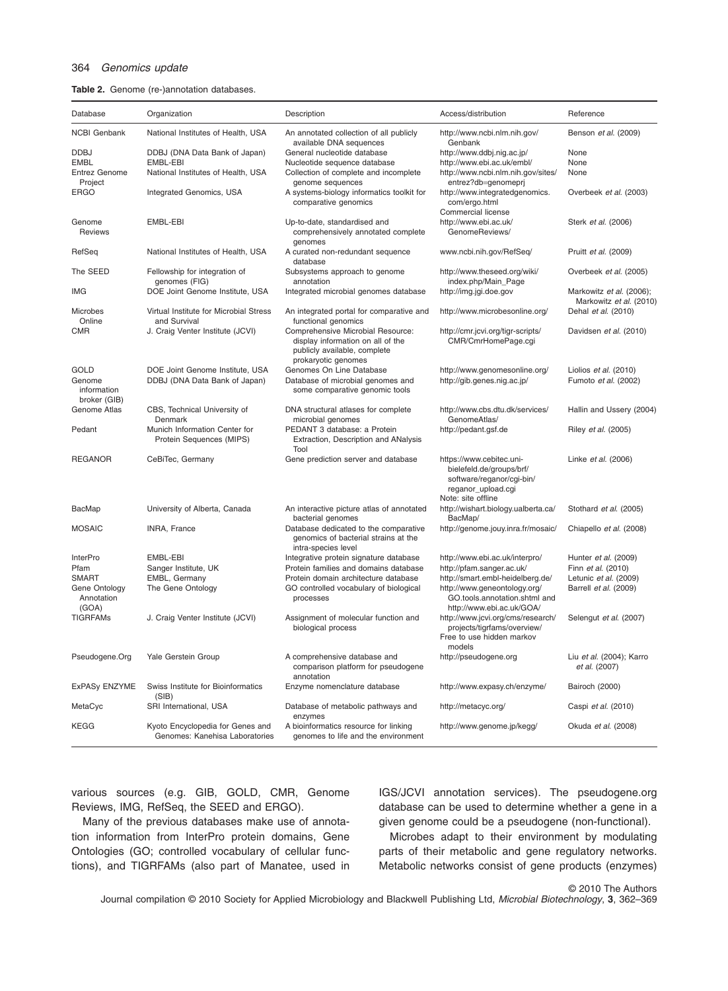#### **Table 2.** Genome (re-)annotation databases.

| Database                                      | Organization                                                       | Description                                                                                                                   | Access/distribution                                                                                                           | Reference                                            |
|-----------------------------------------------|--------------------------------------------------------------------|-------------------------------------------------------------------------------------------------------------------------------|-------------------------------------------------------------------------------------------------------------------------------|------------------------------------------------------|
| <b>NCBI Genbank</b>                           | National Institutes of Health, USA                                 | An annotated collection of all publicly<br>available DNA sequences                                                            | http://www.ncbi.nlm.nih.gov/<br>Genbank                                                                                       | Benson et al. (2009)                                 |
| <b>DDBJ</b>                                   | DDBJ (DNA Data Bank of Japan)                                      | General nucleotide database                                                                                                   | http://www.ddbj.nig.ac.jp/                                                                                                    | None                                                 |
| <b>EMBL</b>                                   | EMBL-EBI                                                           | Nucleotide sequence database                                                                                                  | http://www.ebi.ac.uk/embl/                                                                                                    | None                                                 |
| <b>Entrez Genome</b><br>Project               | National Institutes of Health, USA                                 | Collection of complete and incomplete<br>genome sequences                                                                     | http://www.ncbi.nlm.nih.gov/sites/<br>entrez?db=genomeprj                                                                     | None                                                 |
| ERGO                                          | Integrated Genomics, USA                                           | A systems-biology informatics toolkit for<br>comparative genomics                                                             | http://www.integratedgenomics.<br>com/ergo.html<br>Commercial license                                                         | Overbeek et al. (2003)                               |
| Genome<br>Reviews                             | EMBL-EBI                                                           | Up-to-date, standardised and<br>comprehensively annotated complete<br>genomes                                                 | http://www.ebi.ac.uk/<br>GenomeReviews/                                                                                       | Sterk et al. (2006)                                  |
| RefSeq                                        | National Institutes of Health, USA                                 | A curated non-redundant sequence<br>database                                                                                  | www.ncbi.nih.gov/RefSeq/                                                                                                      | Pruitt et al. (2009)                                 |
| The SEED                                      | Fellowship for integration of<br>genomes (FIG)                     | Subsystems approach to genome<br>annotation                                                                                   | http://www.theseed.org/wiki/<br>index.php/Main_Page                                                                           | Overbeek et al. (2005)                               |
| <b>IMG</b>                                    | DOE Joint Genome Institute, USA                                    | Integrated microbial genomes database                                                                                         | http://img.jgi.doe.gov                                                                                                        | Markowitz et al. (2006);<br>Markowitz et al. (2010)  |
| Microbes<br>Online                            | Virtual Institute for Microbial Stress<br>and Survival             | An integrated portal for comparative and<br>functional genomics                                                               | http://www.microbesonline.org/                                                                                                | Dehal et al. (2010)                                  |
| <b>CMR</b>                                    | J. Craig Venter Institute (JCVI)                                   | Comprehensive Microbial Resource:<br>display information on all of the<br>publicly available, complete<br>prokaryotic genomes | http://cmr.jcvi.org/tigr-scripts/<br>CMR/CmrHomePage.cgi                                                                      | Davidsen et al. (2010)                               |
| GOLD<br>Genome<br>information<br>broker (GIB) | DOE Joint Genome Institute, USA<br>DDBJ (DNA Data Bank of Japan)   | Genomes On Line Database<br>Database of microbial genomes and<br>some comparative genomic tools                               | http://www.genomesonline.org/<br>http://gib.genes.nig.ac.jp/                                                                  | Liolios <i>et al.</i> (2010)<br>Fumoto et al. (2002) |
| Genome Atlas                                  | CBS, Technical University of<br>Denmark                            | DNA structural atlases for complete<br>microbial genomes                                                                      | http://www.cbs.dtu.dk/services/<br>GenomeAtlas/                                                                               | Hallin and Ussery (2004)                             |
| Pedant                                        | Munich Information Center for<br>Protein Sequences (MIPS)          | PEDANT 3 database: a Protein<br>Extraction, Description and ANalysis<br>Tool                                                  | http://pedant.gsf.de                                                                                                          | Riley et al. (2005)                                  |
| <b>REGANOR</b>                                | CeBiTec, Germany                                                   | Gene prediction server and database                                                                                           | https://www.cebitec.uni-<br>bielefeld.de/groups/brf/<br>software/reganor/cgi-bin/<br>reganor_upload.cgi<br>Note: site offline | Linke <i>et al.</i> (2006)                           |
| BacMap                                        | University of Alberta, Canada                                      | An interactive picture atlas of annotated<br>bacterial genomes                                                                | http://wishart.biology.ualberta.ca/<br>BacMap/                                                                                | Stothard et al. (2005)                               |
| <b>MOSAIC</b>                                 | INRA, France                                                       | Database dedicated to the comparative<br>genomics of bacterial strains at the<br>intra-species level                          | http://genome.jouy.inra.fr/mosaic/                                                                                            | Chiapello et al. (2008)                              |
| <b>InterPro</b>                               | EMBL-EBI                                                           | Integrative protein signature database                                                                                        | http://www.ebi.ac.uk/interpro/                                                                                                | Hunter et al. (2009)                                 |
| Pfam                                          | Sanger Institute, UK                                               | Protein families and domains database                                                                                         | http://pfam.sanger.ac.uk/                                                                                                     | Finn et al. (2010)                                   |
| <b>SMART</b>                                  | EMBL, Germany                                                      | Protein domain architecture database                                                                                          | http://smart.embl-heidelberg.de/                                                                                              | Letunic et al. (2009)                                |
| Gene Ontology<br>Annotation<br>(GOA)          | The Gene Ontology                                                  | GO controlled vocabulary of biological<br>processes                                                                           | http://www.geneontology.org/<br>GO.tools.annotation.shtml and<br>http://www.ebi.ac.uk/GOA/                                    | Barrell et al. (2009)                                |
| <b>TIGRFAMs</b>                               | J. Craig Venter Institute (JCVI)                                   | Assignment of molecular function and<br>biological process                                                                    | http://www.jcvi.org/cms/research/<br>projects/tigrfams/overview/<br>Free to use hidden markov<br>models                       | Selengut et al. (2007)                               |
| Pseudogene.Org                                | Yale Gerstein Group                                                | A comprehensive database and<br>comparison platform for pseudogene<br>annotation                                              | http://pseudogene.org                                                                                                         | Liu et al. (2004); Karro<br><i>et al.</i> (2007)     |
| ExPASy ENZYME                                 | Swiss Institute for Bioinformatics<br>(SIB)                        | Enzyme nomenclature database                                                                                                  | http://www.expasy.ch/enzyme/                                                                                                  | Bairoch (2000)                                       |
| MetaCyc                                       | SRI International, USA                                             | Database of metabolic pathways and<br>enzymes                                                                                 | http://metacyc.org/                                                                                                           | Caspi et al. (2010)                                  |
| KEGG                                          | Kyoto Encyclopedia for Genes and<br>Genomes: Kanehisa Laboratories | A bioinformatics resource for linking<br>genomes to life and the environment                                                  | http://www.genome.jp/kegg/                                                                                                    | Okuda et al. (2008)                                  |

various sources (e.g. GIB, GOLD, CMR, Genome Reviews, IMG, RefSeq, the SEED and ERGO).

Many of the previous databases make use of annotation information from InterPro protein domains, Gene Ontologies (GO; controlled vocabulary of cellular functions), and TIGRFAMs (also part of Manatee, used in IGS/JCVI annotation services). The pseudogene.org database can be used to determine whether a gene in a given genome could be a pseudogene (non-functional).

Microbes adapt to their environment by modulating parts of their metabolic and gene regulatory networks. Metabolic networks consist of gene products (enzymes)

© 2010 The Authors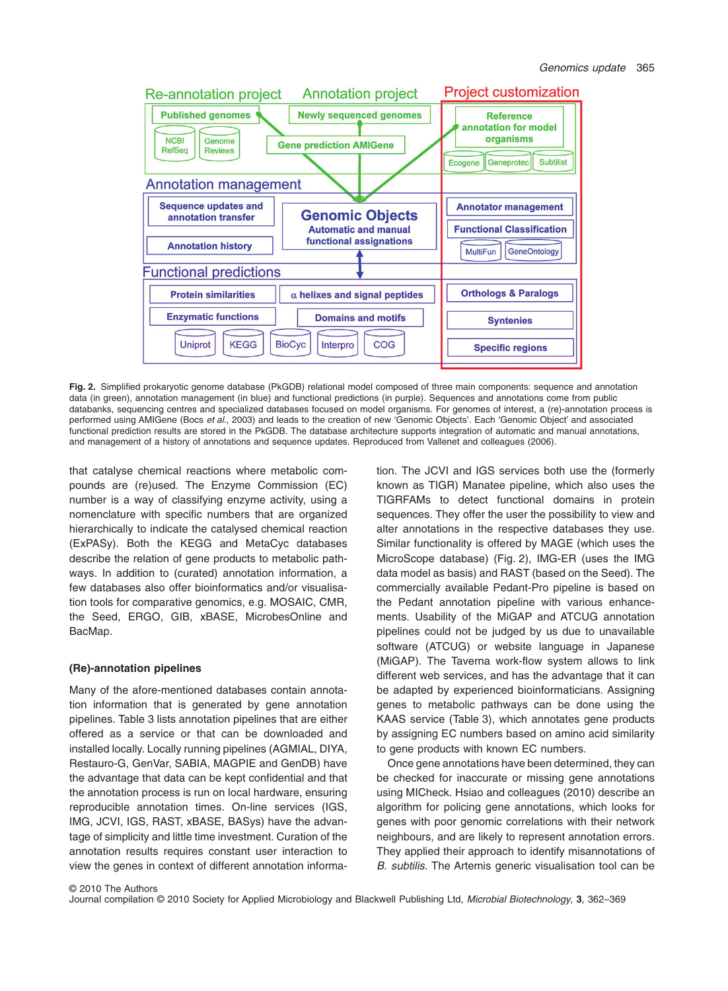

**Fig. 2.** Simplified prokaryotic genome database (PkGDB) relational model composed of three main components: sequence and annotation data (in green), annotation management (in blue) and functional predictions (in purple). Sequences and annotations come from public databanks, sequencing centres and specialized databases focused on model organisms. For genomes of interest, a (re)-annotation process is performed using AMIGene (Bocs *et al*., 2003) and leads to the creation of new 'Genomic Objects'. Each 'Genomic Object' and associated functional prediction results are stored in the PkGDB. The database architecture supports integration of automatic and manual annotations, and management of a history of annotations and sequence updates. Reproduced from Vallenet and colleagues (2006).

that catalyse chemical reactions where metabolic compounds are (re)used. The Enzyme Commission (EC) number is a way of classifying enzyme activity, using a nomenclature with specific numbers that are organized hierarchically to indicate the catalysed chemical reaction (ExPASy). Both the KEGG and MetaCyc databases describe the relation of gene products to metabolic pathways. In addition to (curated) annotation information, a few databases also offer bioinformatics and/or visualisation tools for comparative genomics, e.g. MOSAIC, CMR, the Seed, ERGO, GIB, xBASE, MicrobesOnline and BacMap.

### **(Re)-annotation pipelines**

Many of the afore-mentioned databases contain annotation information that is generated by gene annotation pipelines. Table 3 lists annotation pipelines that are either offered as a service or that can be downloaded and installed locally. Locally running pipelines (AGMIAL, DIYA, Restauro-G, GenVar, SABIA, MAGPIE and GenDB) have the advantage that data can be kept confidential and that the annotation process is run on local hardware, ensuring reproducible annotation times. On-line services (IGS, IMG, JCVI, IGS, RAST, xBASE, BASys) have the advantage of simplicity and little time investment. Curation of the annotation results requires constant user interaction to view the genes in context of different annotation information. The JCVI and IGS services both use the (formerly known as TIGR) Manatee pipeline, which also uses the TIGRFAMs to detect functional domains in protein sequences. They offer the user the possibility to view and alter annotations in the respective databases they use. Similar functionality is offered by MAGE (which uses the MicroScope database) (Fig. 2), IMG-ER (uses the IMG data model as basis) and RAST (based on the Seed). The commercially available Pedant-Pro pipeline is based on the Pedant annotation pipeline with various enhancements. Usability of the MiGAP and ATCUG annotation pipelines could not be judged by us due to unavailable software (ATCUG) or website language in Japanese (MiGAP). The Taverna work-flow system allows to link different web services, and has the advantage that it can be adapted by experienced bioinformaticians. Assigning genes to metabolic pathways can be done using the KAAS service (Table 3), which annotates gene products by assigning EC numbers based on amino acid similarity to gene products with known EC numbers.

Once gene annotations have been determined, they can be checked for inaccurate or missing gene annotations using MICheck. Hsiao and colleagues (2010) describe an algorithm for policing gene annotations, which looks for genes with poor genomic correlations with their network neighbours, and are likely to represent annotation errors. They applied their approach to identify misannotations of *B. subtilis*. The Artemis generic visualisation tool can be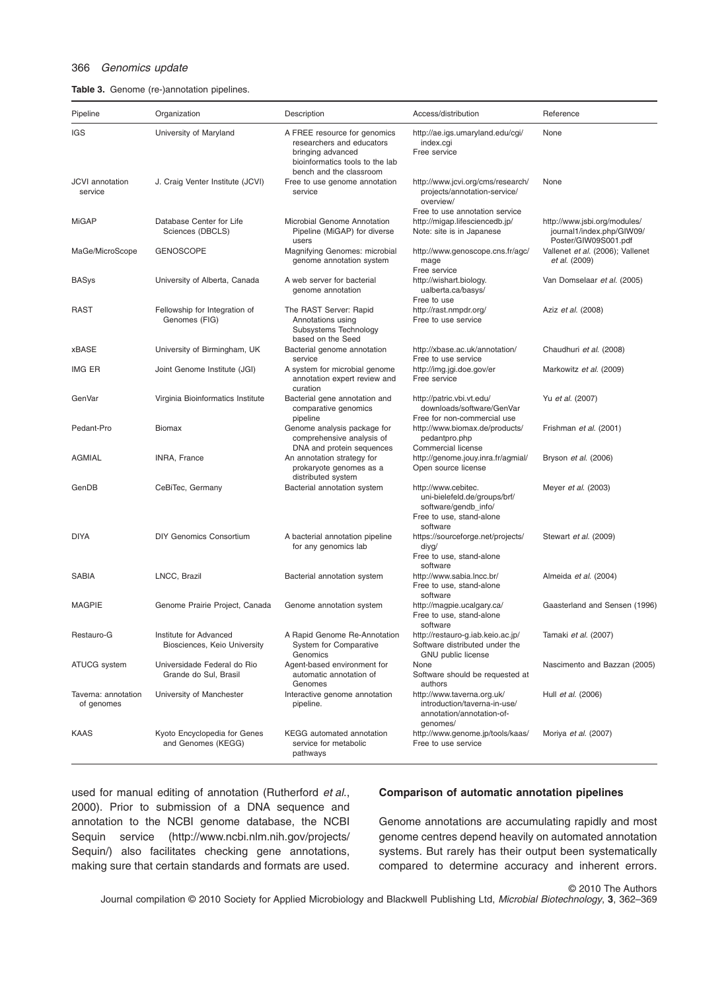**Table 3.** Genome (re-)annotation pipelines.

| Pipeline                          | Organization                                           | Description                                                                                                                                  | Access/distribution                                                                                                 | Reference                                                                         |
|-----------------------------------|--------------------------------------------------------|----------------------------------------------------------------------------------------------------------------------------------------------|---------------------------------------------------------------------------------------------------------------------|-----------------------------------------------------------------------------------|
| <b>IGS</b>                        | University of Maryland                                 | A FREE resource for genomics<br>researchers and educators<br>bringing advanced<br>bioinformatics tools to the lab<br>bench and the classroom | http://ae.igs.umaryland.edu/cgi/<br>index.cgi<br>Free service                                                       | None                                                                              |
| <b>JCVI</b> annotation<br>service | J. Craig Venter Institute (JCVI)                       | Free to use genome annotation<br>service                                                                                                     | http://www.jcvi.org/cms/research/<br>projects/annotation-service/<br>overview/<br>Free to use annotation service    | None                                                                              |
| <b>MiGAP</b>                      | Database Center for Life<br>Sciences (DBCLS)           | Microbial Genome Annotation<br>Pipeline (MiGAP) for diverse<br>users                                                                         | http://migap.lifesciencedb.jp/<br>Note: site is in Japanese                                                         | http://www.jsbi.org/modules/<br>journal1/index.php/GIW09/<br>Poster/GIW09S001.pdf |
| MaGe/MicroScope                   | <b>GENOSCOPE</b>                                       | Magnifying Genomes: microbial<br>genome annotation system                                                                                    | http://www.genoscope.cns.fr/agc/<br>mage<br>Free service                                                            | Vallenet et al. (2006); Vallenet<br><i>et al.</i> (2009)                          |
| <b>BASys</b>                      | University of Alberta, Canada                          | A web server for bacterial<br>genome annotation                                                                                              | http://wishart.biology.<br>ualberta.ca/basys/<br>Free to use                                                        | Van Domselaar et al. (2005)                                                       |
| <b>RAST</b>                       | Fellowship for Integration of<br>Genomes (FIG)         | The RAST Server: Rapid<br>Annotations using<br>Subsystems Technology<br>based on the Seed                                                    | http://rast.nmpdr.org/<br>Free to use service                                                                       | Aziz et al. (2008)                                                                |
| <b>xBASE</b>                      | University of Birmingham, UK                           | Bacterial genome annotation<br>service                                                                                                       | http://xbase.ac.uk/annotation/<br>Free to use service                                                               | Chaudhuri et al. (2008)                                                           |
| IMG ER                            | Joint Genome Institute (JGI)                           | A system for microbial genome<br>annotation expert review and<br>curation                                                                    | http://img.jgi.doe.gov/er<br>Free service                                                                           | Markowitz et al. (2009)                                                           |
| GenVar                            | Virginia Bioinformatics Institute                      | Bacterial gene annotation and<br>comparative genomics<br>pipeline                                                                            | http://patric.vbi.vt.edu/<br>downloads/software/GenVar<br>Free for non-commercial use                               | Yu <i>et al.</i> (2007)                                                           |
| Pedant-Pro                        | <b>Biomax</b>                                          | Genome analysis package for<br>comprehensive analysis of<br>DNA and protein sequences                                                        | http://www.biomax.de/products/<br>pedantpro.php<br>Commercial license                                               | Frishman et al. (2001)                                                            |
| AGMIAL                            | INRA, France                                           | An annotation strategy for<br>prokaryote genomes as a<br>distributed system                                                                  | http://genome.jouy.inra.fr/agmial/<br>Open source license                                                           | Bryson et al. (2006)                                                              |
| GenDB                             | CeBiTec, Germany                                       | Bacterial annotation system                                                                                                                  | http://www.cebitec.<br>uni-bielefeld.de/groups/brf/<br>software/gendb_info/<br>Free to use, stand-alone<br>software | Meyer et al. (2003)                                                               |
| <b>DIYA</b>                       | <b>DIY Genomics Consortium</b>                         | A bacterial annotation pipeline<br>for any genomics lab                                                                                      | https://sourceforge.net/projects/<br>diyg/<br>Free to use, stand-alone<br>software                                  | Stewart et al. (2009)                                                             |
| <b>SABIA</b>                      | LNCC, Brazil                                           | Bacterial annotation system                                                                                                                  | http://www.sabia.lncc.br/<br>Free to use, stand-alone<br>software                                                   | Almeida et al. (2004)                                                             |
| <b>MAGPIE</b>                     | Genome Prairie Project, Canada                         | Genome annotation system                                                                                                                     | http://magpie.ucalgary.ca/<br>Free to use, stand-alone<br>software                                                  | Gaasterland and Sensen (1996)                                                     |
| Restauro-G                        | Institute for Advanced<br>Biosciences, Keio University | A Rapid Genome Re-Annotation<br><b>System for Comparative</b><br>Genomics                                                                    | http://restauro-g.iab.keio.ac.jp/<br>Software distributed under the<br>GNU public license                           | Tamaki et al. (2007)                                                              |
| <b>ATUCG</b> system               | Universidade Federal do Rio<br>Grande do Sul, Brasil   | Agent-based environment for<br>automatic annotation of<br>Genomes                                                                            | None<br>Software should be requested at<br>authors                                                                  | Nascimento and Bazzan (2005)                                                      |
| Taverna: annotation<br>of genomes | University of Manchester                               | Interactive genome annotation<br>pipeline.                                                                                                   | http://www.taverna.org.uk/<br>introduction/taverna-in-use/<br>annotation/annotation-of-<br>genomes/                 | Hull et al. (2006)                                                                |
| KAAS                              | Kyoto Encyclopedia for Genes<br>and Genomes (KEGG)     | <b>KEGG</b> automated annotation<br>service for metabolic<br>pathways                                                                        | http://www.genome.jp/tools/kaas/<br>Free to use service                                                             | Moriya et al. (2007)                                                              |

used for manual editing of annotation (Rutherford *et al*., 2000). Prior to submission of a DNA sequence and annotation to the NCBI genome database, the NCBI Sequin service ([http://www.ncbi.nlm.nih.gov/projects/](http://www.ncbi.nlm.nih.gov/projects/Sequin) [Sequin/\) a](http://www.ncbi.nlm.nih.gov/projects/Sequin)lso facilitates checking gene annotations, making sure that certain standards and formats are used.

## **Comparison of automatic annotation pipelines**

Genome annotations are accumulating rapidly and most genome centres depend heavily on automated annotation systems. But rarely has their output been systematically compared to determine accuracy and inherent errors.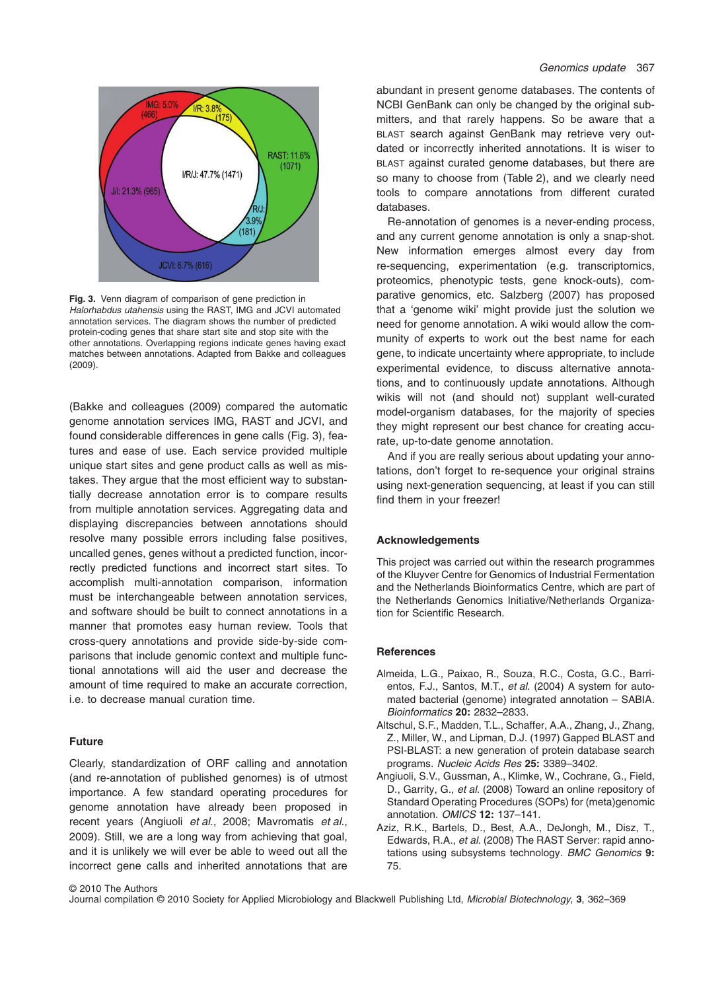

**Fig. 3.** Venn diagram of comparison of gene prediction in *Halorhabdus utahensis* using the RAST, IMG and JCVI automated annotation services. The diagram shows the number of predicted protein-coding genes that share start site and stop site with the other annotations. Overlapping regions indicate genes having exact matches between annotations. Adapted from Bakke and colleagues (2009).

(Bakke and colleagues (2009) compared the automatic genome annotation services IMG, RAST and JCVI, and found considerable differences in gene calls (Fig. 3), features and ease of use. Each service provided multiple unique start sites and gene product calls as well as mistakes. They argue that the most efficient way to substantially decrease annotation error is to compare results from multiple annotation services. Aggregating data and displaying discrepancies between annotations should resolve many possible errors including false positives, uncalled genes, genes without a predicted function, incorrectly predicted functions and incorrect start sites. To accomplish multi-annotation comparison, information must be interchangeable between annotation services, and software should be built to connect annotations in a manner that promotes easy human review. Tools that cross-query annotations and provide side-by-side comparisons that include genomic context and multiple functional annotations will aid the user and decrease the amount of time required to make an accurate correction, i.e. to decrease manual curation time.

## **Future**

Clearly, standardization of ORF calling and annotation (and re-annotation of published genomes) is of utmost importance. A few standard operating procedures for genome annotation have already been proposed in recent years (Angiuoli *et al*., 2008; Mavromatis *et al*., 2009). Still, we are a long way from achieving that goal, and it is unlikely we will ever be able to weed out all the incorrect gene calls and inherited annotations that are abundant in present genome databases. The contents of NCBI GenBank can only be changed by the original submitters, and that rarely happens. So be aware that a BLAST search against GenBank may retrieve very outdated or incorrectly inherited annotations. It is wiser to BLAST against curated genome databases, but there are so many to choose from (Table 2), and we clearly need tools to compare annotations from different curated databases.

Re-annotation of genomes is a never-ending process, and any current genome annotation is only a snap-shot. New information emerges almost every day from re-sequencing, experimentation (e.g. transcriptomics, proteomics, phenotypic tests, gene knock-outs), comparative genomics, etc. Salzberg (2007) has proposed that a 'genome wiki' might provide just the solution we need for genome annotation. A wiki would allow the community of experts to work out the best name for each gene, to indicate uncertainty where appropriate, to include experimental evidence, to discuss alternative annotations, and to continuously update annotations. Although wikis will not (and should not) supplant well-curated model-organism databases, for the majority of species they might represent our best chance for creating accurate, up-to-date genome annotation.

And if you are really serious about updating your annotations, don't forget to re-sequence your original strains using next-generation sequencing, at least if you can still find them in your freezer!

#### **Acknowledgements**

This project was carried out within the research programmes of the Kluyver Centre for Genomics of Industrial Fermentation and the Netherlands Bioinformatics Centre, which are part of the Netherlands Genomics Initiative/Netherlands Organization for Scientific Research.

#### **References**

- Almeida, L.G., Paixao, R., Souza, R.C., Costa, G.C., Barrientos, F.J., Santos, M.T., *et al*. (2004) A system for automated bacterial (genome) integrated annotation – SABIA. *Bioinformatics* **20:** 2832–2833.
- Altschul, S.F., Madden, T.L., Schaffer, A.A., Zhang, J., Zhang, Z., Miller, W., and Lipman, D.J. (1997) Gapped BLAST and PSI-BLAST: a new generation of protein database search programs. *Nucleic Acids Res* **25:** 3389–3402.
- Angiuoli, S.V., Gussman, A., Klimke, W., Cochrane, G., Field, D., Garrity, G., *et al*. (2008) Toward an online repository of Standard Operating Procedures (SOPs) for (meta)genomic annotation. *OMICS* **12:** 137–141.
- Aziz, R.K., Bartels, D., Best, A.A., DeJongh, M., Disz, T., Edwards, R.A., *et al*. (2008) The RAST Server: rapid annotations using subsystems technology. *BMC Genomics* **9:** 75.

© 2010 The Authors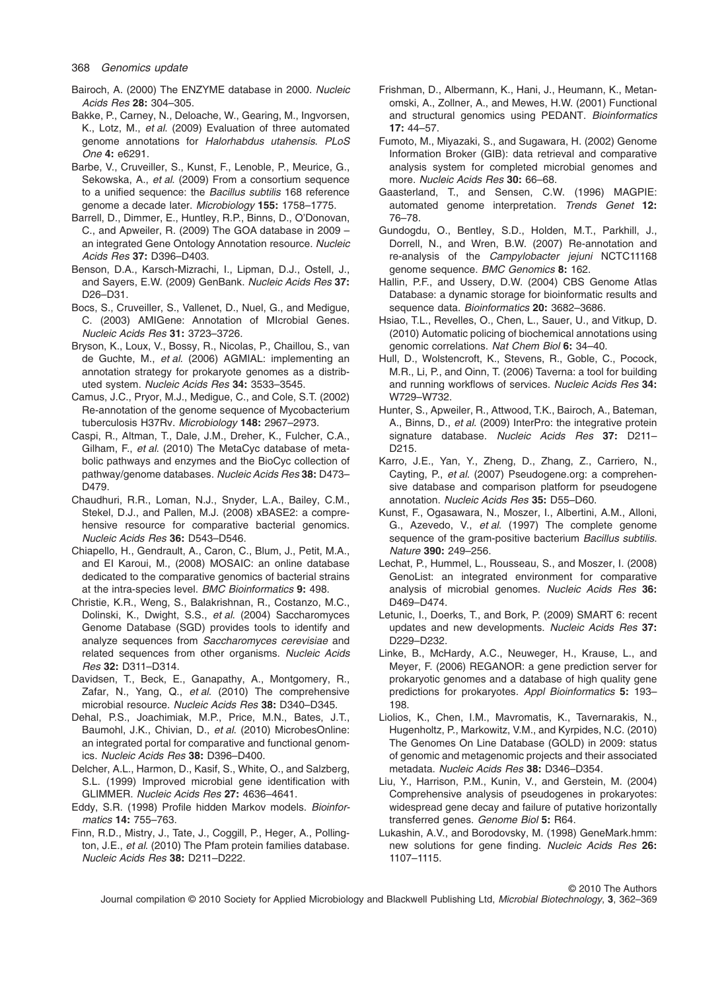- Bairoch, A. (2000) The ENZYME database in 2000. *Nucleic Acids Res* **28:** 304–305.
- Bakke, P., Carney, N., Deloache, W., Gearing, M., Ingvorsen, K., Lotz, M., *et al*. (2009) Evaluation of three automated genome annotations for *Halorhabdus utahensis*. *PLoS One* **4:** e6291.
- Barbe, V., Cruveiller, S., Kunst, F., Lenoble, P., Meurice, G., Sekowska, A., *et al*. (2009) From a consortium sequence to a unified sequence: the *Bacillus subtilis* 168 reference genome a decade later. *Microbiology* **155:** 1758–1775.
- Barrell, D., Dimmer, E., Huntley, R.P., Binns, D., O'Donovan, C., and Apweiler, R. (2009) The GOA database in 2009 – an integrated Gene Ontology Annotation resource. *Nucleic Acids Res* **37:** D396–D403.
- Benson, D.A., Karsch-Mizrachi, I., Lipman, D.J., Ostell, J., and Sayers, E.W. (2009) GenBank. *Nucleic Acids Res* **37:** D26–D31.
- Bocs, S., Cruveiller, S., Vallenet, D., Nuel, G., and Medigue, C. (2003) AMIGene: Annotation of MIcrobial Genes. *Nucleic Acids Res* **31:** 3723–3726.
- Bryson, K., Loux, V., Bossy, R., Nicolas, P., Chaillou, S., van de Guchte, M., *et al*. (2006) AGMIAL: implementing an annotation strategy for prokaryote genomes as a distributed system. *Nucleic Acids Res* **34:** 3533–3545.
- Camus, J.C., Pryor, M.J., Medigue, C., and Cole, S.T. (2002) Re-annotation of the genome sequence of Mycobacterium tuberculosis H37Rv. *Microbiology* **148:** 2967–2973.
- Caspi, R., Altman, T., Dale, J.M., Dreher, K., Fulcher, C.A., Gilham, F., *et al*. (2010) The MetaCyc database of metabolic pathways and enzymes and the BioCyc collection of pathway/genome databases. *Nucleic Acids Res* **38:** D473– D479.
- Chaudhuri, R.R., Loman, N.J., Snyder, L.A., Bailey, C.M., Stekel, D.J., and Pallen, M.J. (2008) xBASE2: a comprehensive resource for comparative bacterial genomics. *Nucleic Acids Res* **36:** D543–D546.
- Chiapello, H., Gendrault, A., Caron, C., Blum, J., Petit, M.A., and EI Karoui, M., (2008) MOSAIC: an online database dedicated to the comparative genomics of bacterial strains at the intra-species level. *BMC Bioinformatics* **9:** 498.
- Christie, K.R., Weng, S., Balakrishnan, R., Costanzo, M.C., Dolinski, K., Dwight, S.S., *et al*. (2004) Saccharomyces Genome Database (SGD) provides tools to identify and analyze sequences from *Saccharomyces cerevisiae* and related sequences from other organisms. *Nucleic Acids Res* **32:** D311–D314.
- Davidsen, T., Beck, E., Ganapathy, A., Montgomery, R., Zafar, N., Yang, Q., *et al*. (2010) The comprehensive microbial resource. *Nucleic Acids Res* **38:** D340–D345.
- Dehal, P.S., Joachimiak, M.P., Price, M.N., Bates, J.T., Baumohl, J.K., Chivian, D., *et al*. (2010) MicrobesOnline: an integrated portal for comparative and functional genomics. *Nucleic Acids Res* **38:** D396–D400.
- Delcher, A.L., Harmon, D., Kasif, S., White, O., and Salzberg, S.L. (1999) Improved microbial gene identification with GLIMMER. *Nucleic Acids Res* **27:** 4636–4641.
- Eddy, S.R. (1998) Profile hidden Markov models. *Bioinformatics* **14:** 755–763.
- Finn, R.D., Mistry, J., Tate, J., Coggill, P., Heger, A., Pollington, J.E., *et al*. (2010) The Pfam protein families database. *Nucleic Acids Res* **38:** D211–D222.
- Frishman, D., Albermann, K., Hani, J., Heumann, K., Metanomski, A., Zollner, A., and Mewes, H.W. (2001) Functional and structural genomics using PEDANT. *Bioinformatics* **17:** 44–57.
- Fumoto, M., Miyazaki, S., and Sugawara, H. (2002) Genome Information Broker (GIB): data retrieval and comparative analysis system for completed microbial genomes and more. *Nucleic Acids Res* **30:** 66–68.
- Gaasterland, T., and Sensen, C.W. (1996) MAGPIE: automated genome interpretation. *Trends Genet* **12:** 76–78.
- Gundogdu, O., Bentley, S.D., Holden, M.T., Parkhill, J., Dorrell, N., and Wren, B.W. (2007) Re-annotation and re-analysis of the *Campylobacter jejuni* NCTC11168 genome sequence. *BMC Genomics* **8:** 162.
- Hallin, P.F., and Ussery, D.W. (2004) CBS Genome Atlas Database: a dynamic storage for bioinformatic results and sequence data. *Bioinformatics* **20:** 3682–3686.
- Hsiao, T.L., Revelles, O., Chen, L., Sauer, U., and Vitkup, D. (2010) Automatic policing of biochemical annotations using genomic correlations. *Nat Chem Biol* **6:** 34–40.
- Hull, D., Wolstencroft, K., Stevens, R., Goble, C., Pocock, M.R., Li, P., and Oinn, T. (2006) Taverna: a tool for building and running workflows of services. *Nucleic Acids Res* **34:** W729–W732.
- Hunter, S., Apweiler, R., Attwood, T.K., Bairoch, A., Bateman, A., Binns, D., *et al*. (2009) InterPro: the integrative protein signature database. *Nucleic Acids Res* **37:** D211– D215.
- Karro, J.E., Yan, Y., Zheng, D., Zhang, Z., Carriero, N., Cayting, P., *et al*. (2007) Pseudogene.org: a comprehensive database and comparison platform for pseudogene annotation. *Nucleic Acids Res* **35:** D55–D60.
- Kunst, F., Ogasawara, N., Moszer, I., Albertini, A.M., Alloni, G., Azevedo, V., *et al*. (1997) The complete genome sequence of the gram-positive bacterium *Bacillus subtilis*. *Nature* **390:** 249–256.
- Lechat, P., Hummel, L., Rousseau, S., and Moszer, I. (2008) GenoList: an integrated environment for comparative analysis of microbial genomes. *Nucleic Acids Res* **36:** D469–D474.
- Letunic, I., Doerks, T., and Bork, P. (2009) SMART 6: recent updates and new developments. *Nucleic Acids Res* **37:** D229–D232.
- Linke, B., McHardy, A.C., Neuweger, H., Krause, L., and Meyer, F. (2006) REGANOR: a gene prediction server for prokaryotic genomes and a database of high quality gene predictions for prokaryotes. *Appl Bioinformatics* **5:** 193– 198.
- Liolios, K., Chen, I.M., Mavromatis, K., Tavernarakis, N., Hugenholtz, P., Markowitz, V.M., and Kyrpides, N.C. (2010) The Genomes On Line Database (GOLD) in 2009: status of genomic and metagenomic projects and their associated metadata. *Nucleic Acids Res* **38:** D346–D354.
- Liu, Y., Harrison, P.M., Kunin, V., and Gerstein, M. (2004) Comprehensive analysis of pseudogenes in prokaryotes: widespread gene decay and failure of putative horizontally transferred genes. *Genome Biol* **5:** R64.
- Lukashin, A.V., and Borodovsky, M. (1998) GeneMark.hmm: new solutions for gene finding. *Nucleic Acids Res* **26:** 1107–1115.

© 2010 The Authors